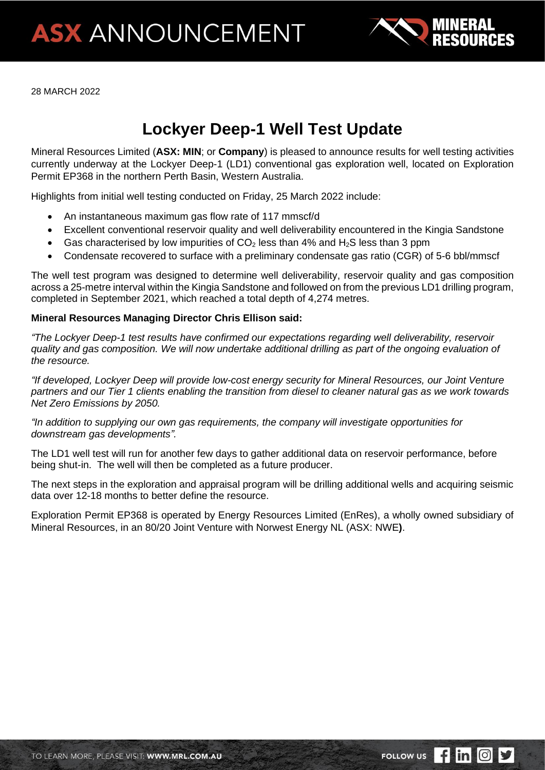

28 MARCH 2022

# **Lockyer Deep-1 Well Test Update**

Mineral Resources Limited (**ASX: MIN**; or **Company**) is pleased to announce results for well testing activities currently underway at the Lockyer Deep-1 (LD1) conventional gas exploration well, located on Exploration Permit EP368 in the northern Perth Basin, Western Australia.

Highlights from initial well testing conducted on Friday, 25 March 2022 include:

- An instantaneous maximum gas flow rate of 117 mmscf/d
- Excellent conventional reservoir quality and well deliverability encountered in the Kingia Sandstone
- Gas characterised by low impurities of  $CO<sub>2</sub>$  less than 4% and H<sub>2</sub>S less than 3 ppm
- Condensate recovered to surface with a preliminary condensate gas ratio (CGR) of 5-6 bbl/mmscf

The well test program was designed to determine well deliverability, reservoir quality and gas composition across a 25-metre interval within the Kingia Sandstone and followed on from the previous LD1 drilling program, completed in September 2021, which reached a total depth of 4,274 metres.

#### **Mineral Resources Managing Director Chris Ellison said:**

*"The Lockyer Deep-1 test results have confirmed our expectations regarding well deliverability, reservoir quality and gas composition. We will now undertake additional drilling as part of the ongoing evaluation of the resource.*

*"If developed, Lockyer Deep will provide low-cost energy security for Mineral Resources, our Joint Venture partners and our Tier 1 clients enabling the transition from diesel to cleaner natural gas as we work towards Net Zero Emissions by 2050.*

*"In addition to supplying our own gas requirements, the company will investigate opportunities for downstream gas developments".*

The LD1 well test will run for another few days to gather additional data on reservoir performance, before being shut-in. The well will then be completed as a future producer.

The next steps in the exploration and appraisal program will be drilling additional wells and acquiring seismic data over 12-18 months to better define the resource.

Exploration Permit EP368 is operated by Energy Resources Limited (EnRes), a wholly owned subsidiary of Mineral Resources, in an 80/20 Joint Venture with Norwest Energy NL (ASX: NWE**)**.